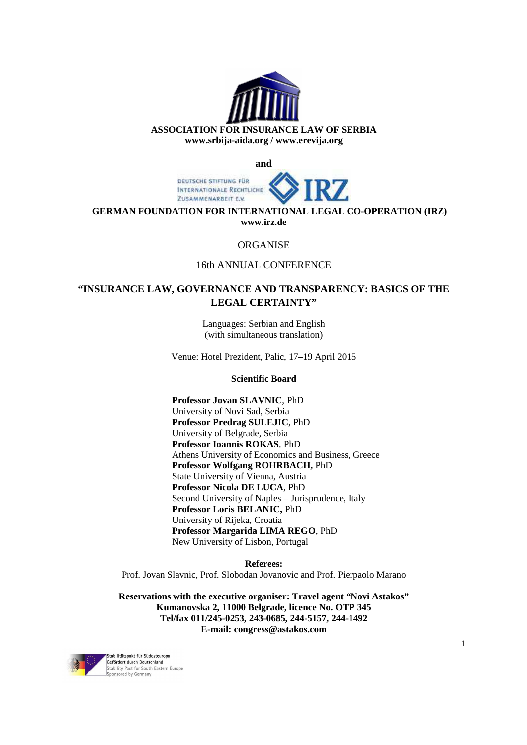

**and** 



**GERMAN FOUNDATION FOR INTERNATIONAL LEGAL CO-OPERATION (IRZ) www.irz.de**

#### ORGANISE

## 16th ANNUAL CONFERENCE

# **"INSURANCE LAW, GOVERNANCE AND TRANSPARENCY: BASICS OF THE LEGAL CERTAINTY"**

Languages: Serbian and English (with simultaneous translation)

Venue: Hotel Prezident, Palic, 17–19 April 2015

#### **Scientific Board**

**Professor Jovan SLAVNIC**, PhD University of Novi Sad, Serbia **Professor Predrag SULEJIC**, PhD University of Belgrade, Serbia **Professor Ioannis ROKAS**, PhD Athens University of Economics and Business, Greece **Professor Wolfgang ROHRBACH,** PhD State University of Vienna, Austria **Professor Nicola DE LUCA**, PhD Second University of Naples – Jurisprudence, Italy **Professor Loris BELANIC,** PhD University of Rijeka, Croatia **Professor Margarida LIMA REGO**, PhD New University of Lisbon, Portugal

**Referees:**

Prof. Jovan Slavnic, Prof. Slobodan Jovanovic and Prof. Pierpaolo Marano

**Reservations with the executive organiser: Travel agent "Novi Astakos" Kumanovska 2, 11000 Belgrade, licence No. OTP 345 Tel/fax 011/245-0253, 243-0685, 244-5157, 244-1492 E-mail: congress@astakos.com** 

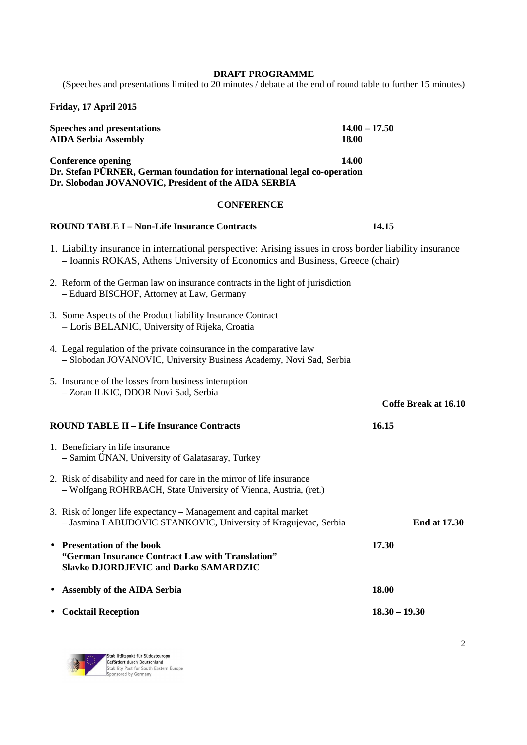#### **DRAFT PROGRAMME**

(Speeches and presentations limited to 20 minutes / debate at the end of round table to further 15 minutes)

**Friday, 17 April 2015** 

| <b>Speeches and presentations</b><br><b>AIDA Serbia Assembly</b>                                                                                                                                                                                                                                                                                                                                                                                                 | $14.00 - 17.50$<br><b>18.00</b> |  |  |  |
|------------------------------------------------------------------------------------------------------------------------------------------------------------------------------------------------------------------------------------------------------------------------------------------------------------------------------------------------------------------------------------------------------------------------------------------------------------------|---------------------------------|--|--|--|
| 14.00<br><b>Conference opening</b><br>Dr. Stefan PÜRNER, German foundation for international legal co-operation<br>Dr. Slobodan JOVANOVIC, President of the AIDA SERBIA                                                                                                                                                                                                                                                                                          |                                 |  |  |  |
| <b>CONFERENCE</b>                                                                                                                                                                                                                                                                                                                                                                                                                                                |                                 |  |  |  |
| <b>ROUND TABLE I – Non-Life Insurance Contracts</b>                                                                                                                                                                                                                                                                                                                                                                                                              | 14.15                           |  |  |  |
| 1. Liability insurance in international perspective: Arising issues in cross border liability insurance<br>- Ioannis ROKAS, Athens University of Economics and Business, Greece (chair)                                                                                                                                                                                                                                                                          |                                 |  |  |  |
| 2. Reform of the German law on insurance contracts in the light of jurisdiction<br>- Eduard BISCHOF, Attorney at Law, Germany                                                                                                                                                                                                                                                                                                                                    |                                 |  |  |  |
| 3. Some Aspects of the Product liability Insurance Contract<br>$\mathbf{D} \mathbf{D}$ $\mathbf{D} \mathbf{D}$ $\mathbf{D} \mathbf{D}$ $\mathbf{D} \mathbf{D}$ $\mathbf{D} \mathbf{D} \mathbf{D}$ $\mathbf{D} \mathbf{D} \mathbf{D} \mathbf{D}$ $\mathbf{D} \mathbf{D} \mathbf{D} \mathbf{D} \mathbf{D} \mathbf{D} \mathbf{D} \mathbf{D} \mathbf{D} \mathbf{D} \mathbf{D} \mathbf{D} \mathbf{D} \mathbf{D} \mathbf{D} \mathbf{D} \mathbf{D} \mathbf{D} \mathbf{$ |                                 |  |  |  |

- Loris BELANIC, University of Rijeka, Croatia
- 4. Legal regulation of the private coinsurance in the comparative law – Slobodan JOVANOVIC, University Business Academy, Novi Sad, Serbia
- 5. Insurance of the losses from business interuption – Zoran ILKIC, DDOR Novi Sad, Serbia

**Coffe Break at 16.10**

- **ROUND TABLE II Life Insurance Contracts 16.15**
	- 1. Beneficiary in life insurance – Samim ÜNAN, University of Galatasaray, Turkey
	- 2. Risk of disability and need for care in the mirror of life insurance – Wolfgang ROHRBACH, State University of Vienna, Austria, (ret.)
	- 3. Risk of longer life expectancy Management and capital market – Jasmina LABUDOVIC STANKOVIC, University of Kragujevac, Serbia **End at 17.30**
- **Presentation of the book 17.30 "German Insurance Contract Law with Translation" Slavko DJORDJEVIC and Darko SAMARDZIC**
- **Assembly of the AIDA Serbia 18.00**  • **Cocktail Reception 18.30 – 19.30**

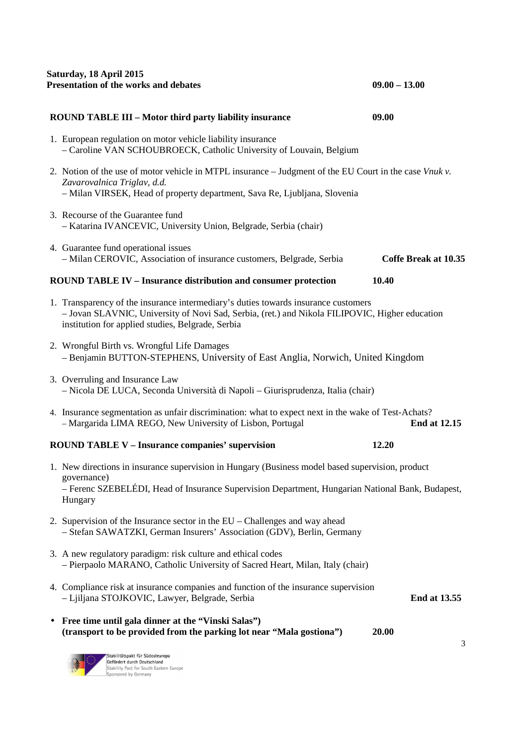| Saturday, 18 April 2015<br>Presentation of the works and debates                                                                                                                                                                          | $09.00 - 13.00$      |  |
|-------------------------------------------------------------------------------------------------------------------------------------------------------------------------------------------------------------------------------------------|----------------------|--|
| <b>ROUND TABLE III - Motor third party liability insurance</b>                                                                                                                                                                            | 09.00                |  |
| 1. European regulation on motor vehicle liability insurance<br>- Caroline VAN SCHOUBROECK, Catholic University of Louvain, Belgium                                                                                                        |                      |  |
| 2. Notion of the use of motor vehicle in MTPL insurance – Judgment of the EU Court in the case Vnuk $v$ .<br>Zavarovalnica Triglav, d.d.<br>- Milan VIRSEK, Head of property department, Sava Re, Ljubljana, Slovenia                     |                      |  |
| 3. Recourse of the Guarantee fund<br>- Katarina IVANCEVIC, University Union, Belgrade, Serbia (chair)                                                                                                                                     |                      |  |
| 4. Guarantee fund operational issues<br>- Milan CEROVIC, Association of insurance customers, Belgrade, Serbia                                                                                                                             | Coffe Break at 10.35 |  |
| <b>ROUND TABLE IV - Insurance distribution and consumer protection</b>                                                                                                                                                                    | 10.40                |  |
| 1. Transparency of the insurance intermediary's duties towards insurance customers<br>- Jovan SLAVNIC, University of Novi Sad, Serbia, (ret.) and Nikola FILIPOVIC, Higher education<br>institution for applied studies, Belgrade, Serbia |                      |  |
| 2. Wrongful Birth vs. Wrongful Life Damages<br>- Benjamin BUTTON-STEPHENS, University of East Anglia, Norwich, United Kingdom                                                                                                             |                      |  |
| 3. Overruling and Insurance Law<br>- Nicola DE LUCA, Seconda Università di Napoli - Giurisprudenza, Italia (chair)                                                                                                                        |                      |  |
| 4. Insurance segmentation as unfair discrimination: what to expect next in the wake of Test-Achats?<br>- Margarida LIMA REGO, New University of Lisbon, Portugal<br><b>End at 12.15</b>                                                   |                      |  |
| <b>ROUND TABLE V - Insurance companies' supervision</b>                                                                                                                                                                                   | 12.20                |  |
| 1. New directions in insurance supervision in Hungary (Business model based supervision, product<br>governance)<br>- Ferenc SZEBELÉDI, Head of Insurance Supervision Department, Hungarian National Bank, Budapest,<br>Hungary            |                      |  |
| 2. Supervision of the Insurance sector in the EU – Challenges and way ahead<br>- Stefan SAWATZKI, German Insurers' Association (GDV), Berlin, Germany                                                                                     |                      |  |
| 3. A new regulatory paradigm: risk culture and ethical codes<br>- Pierpaolo MARANO, Catholic University of Sacred Heart, Milan, Italy (chair)                                                                                             |                      |  |
| 4. Compliance risk at insurance companies and function of the insurance supervision<br>- Ljiljana STOJKOVIC, Lawyer, Belgrade, Serbia                                                                                                     | <b>End at 13.55</b>  |  |
| Free time until gala dinner at the "Vinski Salas")<br>(transport to be provided from the parking lot near "Mala gostiona")                                                                                                                | 20.00<br>3           |  |
| Stabilitätspakt für Südosteuropa<br>Gefördert durch Deutschland<br>Stability Pact for South Eastern Europe<br>Sponsored by Germany                                                                                                        |                      |  |